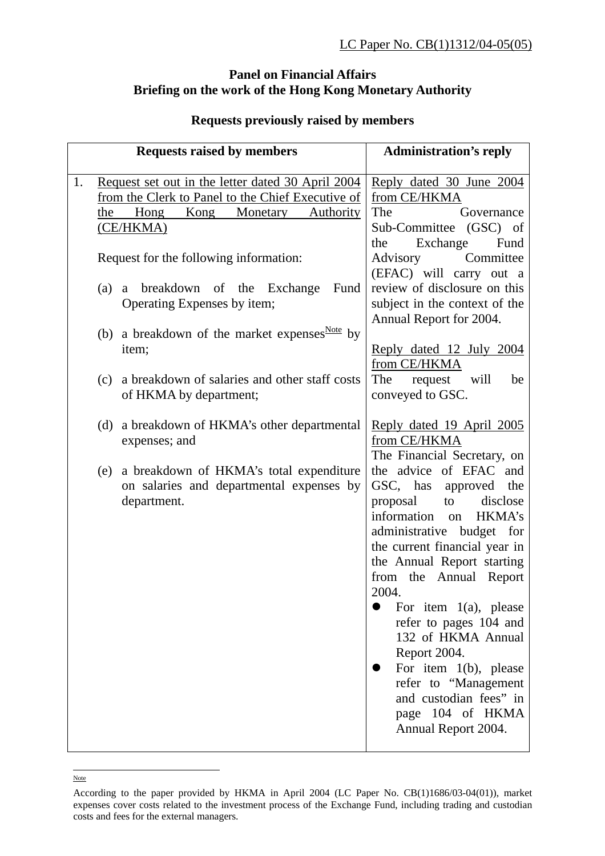### **Panel on Financial Affairs Briefing on the work of the Hong Kong Monetary Authority**

#### **Requests raised by members** Administration's reply 1. Request set out in the letter dated 30 April 2004 from the Clerk to Panel to the Chief Executive of the Hong Kong Monetary Authority (CE/HKMA) Request for the following information: (a) a breakdown of the Exchange Fund Operating Expenses by item; (b) a breakdown of the market expenses by item; (c) a breakdown of salaries and other staff costs of HKMA by department; (d) a breakdown of HKMA's other departmental expenses; and (e) a breakdown of HKMA's total expenditure on salaries and departmental expenses by department. Reply dated 30 June 2004 from CE/HKMA The Governance Sub-Committee (GSC) of the Exchange Fund Advisory Committee (EFAC) will carry out a review of disclosure on this subject in the context of the Annual Report for 2004. Reply dated 12 July 2004 from CE/HKMA The request will be conveyed to GSC. Reply dated 19 April 2005 from CE/HKMA The Financial Secretary, on the advice of EFAC and GSC, has approved the proposal to disclose information on HKMA's administrative budget for the current financial year in the Annual Report starting from the Annual Report 2004.  $\bullet$  For item 1(a), please refer to pages 104 and 132 of HKMA Annual Report 2004. For item  $1(b)$ , please refer to "Management and custodian fees" in page 104 of HKMA Annual Report 2004.

### **Requests previously raised by members**

According to the paper provided by HKMA in April 2004 (LC Paper No. CB(1)1686/03-04(01)), market expenses cover costs related to the investment process of the Exchange Fund, including trading and custodian costs and fees for the external managers.

Note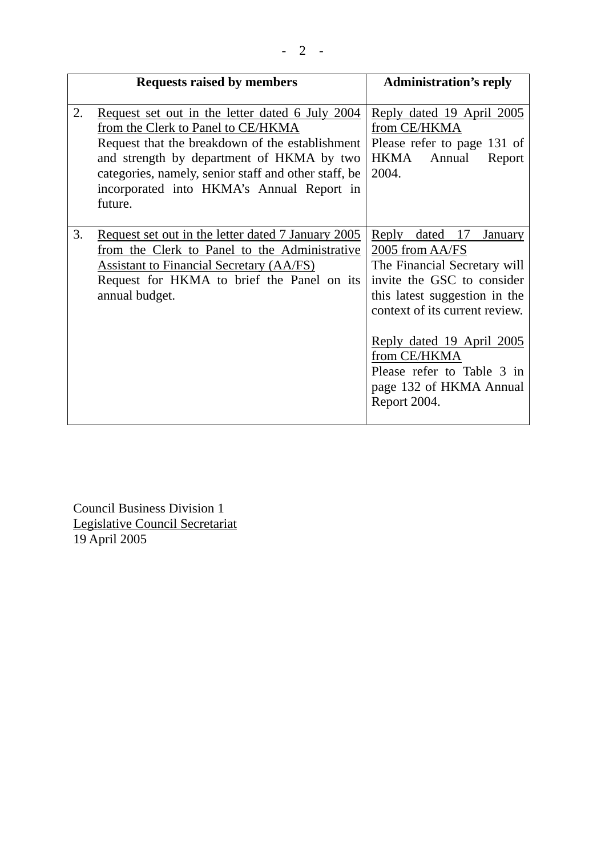|    | <b>Requests raised by members</b>                                                                                                                                                                                                                                                                     | <b>Administration's reply</b>                                                                                                                                                                                                                                                                          |
|----|-------------------------------------------------------------------------------------------------------------------------------------------------------------------------------------------------------------------------------------------------------------------------------------------------------|--------------------------------------------------------------------------------------------------------------------------------------------------------------------------------------------------------------------------------------------------------------------------------------------------------|
| 2. | Request set out in the letter dated 6 July 2004<br>from the Clerk to Panel to CE/HKMA<br>Request that the breakdown of the establishment<br>and strength by department of HKMA by two<br>categories, namely, senior staff and other staff, be<br>incorporated into HKMA's Annual Report in<br>future. | Reply dated 19 April 2005<br>from CE/HKMA<br>Please refer to page 131 of<br>HKMA<br>Annual<br>Report<br>2004.                                                                                                                                                                                          |
| 3. | Request set out in the letter dated 7 January 2005<br>from the Clerk to Panel to the Administrative<br><b>Assistant to Financial Secretary (AA/FS)</b><br>Request for HKMA to brief the Panel on its<br>annual budget.                                                                                | Reply<br>dated 17<br>January<br>2005 from AA/FS<br>The Financial Secretary will<br>invite the GSC to consider<br>this latest suggestion in the<br>context of its current review.<br>Reply dated 19 April 2005<br>from CE/HKMA<br>Please refer to Table 3 in<br>page 132 of HKMA Annual<br>Report 2004. |

Council Business Division 1 Legislative Council Secretariat 19 April 2005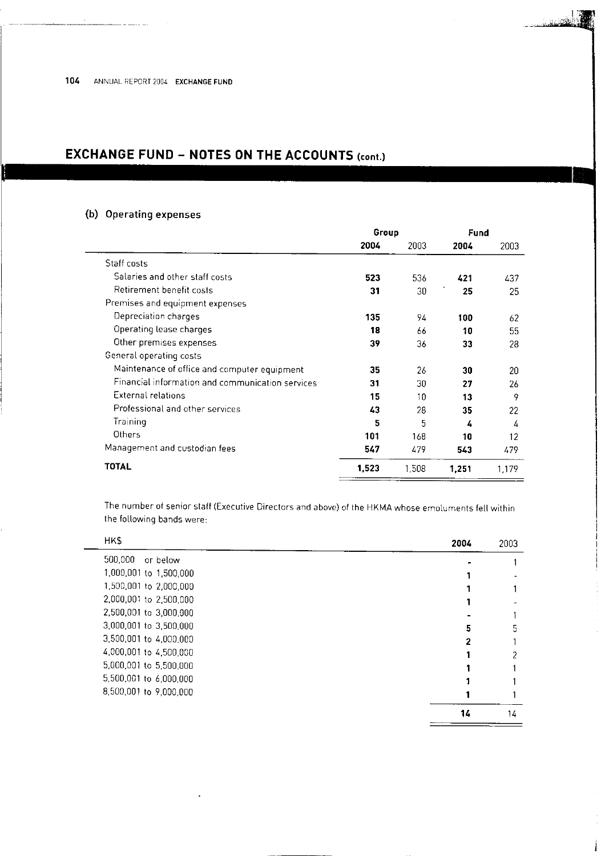# **EXCHANGE FUND - NOTES ON THE ACCOUNTS (cont.)**

## (b) Operating expenses

|                                                  | Group |       | <b>Fund</b> |       |
|--------------------------------------------------|-------|-------|-------------|-------|
|                                                  | 2004  | 2003  | 2004        | 2003  |
| Staff costs                                      |       |       |             |       |
| Salaries and other staff costs                   | 523   | 536   | 421         | 437   |
| Retirement benefit costs                         | 31    | 30    | 25          | 25    |
| Premises and equipment expenses                  |       |       |             |       |
| Depreciation charges                             | 135   | 94    | 100         | 62    |
| Operating lease charges                          | 18    | 66    | 10          | 55    |
| Other premises expenses                          | 39    | 36    | 33          | 28    |
| General operating costs                          |       |       |             |       |
| Maintenance of office and computer equipment     | 35    | 26    | 30          | 20    |
| Financial information and communication services | 31    | 30    | 27          | 26    |
| External relations                               | 15    | 10    | 13          | 9     |
| Professional and other services                  | 43    | 28    | 35          | 22    |
| Training                                         | 5     | 5     | 4           | 4     |
| Others                                           | 101   | 168   | 10          | 12    |
| Management and custodian fees                    | 547   | 479   | 543         | 479.  |
| TOTAL                                            | 1,523 | 1.508 | 1,251       | 1,179 |

İ

The number of senior staff (Executive Directors and above) of the HKMA whose emoluments fell within the following bands were:

| 5  |
|----|
|    |
| 2  |
|    |
|    |
|    |
| 14 |
|    |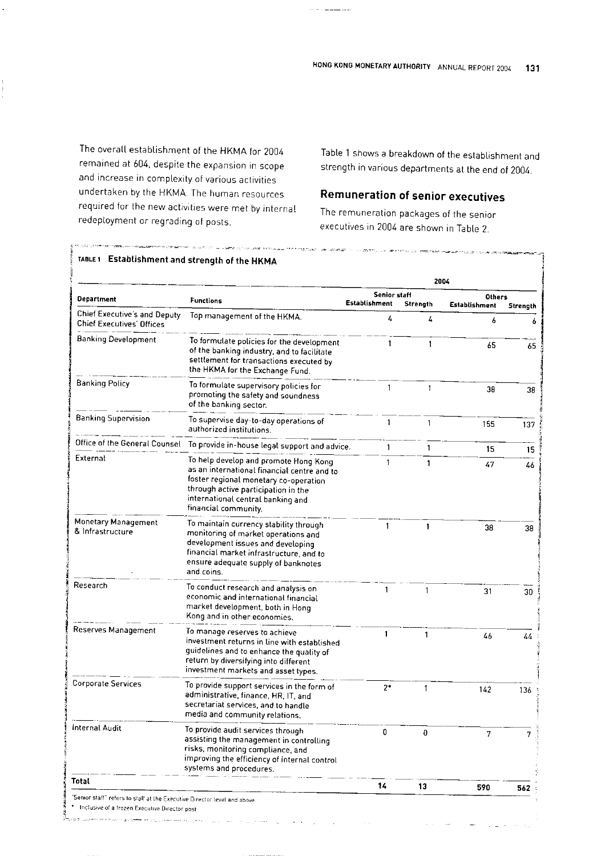ر<br>سال سال سال ۱۳۸۳ میلیارد

The overall establishment of the HKMA for 2004 remained at 604, despite the expansion in scope and increase in complexity of various activities undertaken by the HKMA. The human resources required for the new activities were met by internal redeployment or regrading of posts.

المواريق المستوين الموادية والمراد والمستوين المستوين المتوقع المستوين والمنافذ المصاروق والمراكبة فتعاطفهم

Table 1 shows a breakdown of the establishment and strength in various departments at the end of 2004.

ن او با سال ۱۳۸۸ میلاد که در این منابع با این منابع با این منابع با این منابع با این منابع با این منابع با این<br>منابع

### Remuneration of senior executives

The remuneration packages of the senior executives in 2004 are shown in Table 2.

|                                                                         |                                                                                                                                                                                                                                   | 2004                                      |    |                                     |     |
|-------------------------------------------------------------------------|-----------------------------------------------------------------------------------------------------------------------------------------------------------------------------------------------------------------------------------|-------------------------------------------|----|-------------------------------------|-----|
| Department                                                              | <b>Functions</b>                                                                                                                                                                                                                  | Senior staff<br>Establishment<br>Strength |    | Others<br>Establishment<br>Strength |     |
| <b>Chief Executive's and Deputy</b><br><b>Chief Executives' Offices</b> | Top management of the HKMA.                                                                                                                                                                                                       | 4                                         | 4  | 6                                   |     |
| <b>Banking Development</b>                                              | To formulate policies for the development<br>of the banking industry, and to facilitate<br>settlement for transactions executed by<br>the HKMA for the Exchange Fund.                                                             | 1                                         |    | 65                                  | 65  |
| <b>Banking Policy</b>                                                   | To formulate supervisory policies for<br>promoting the safety and soundness<br>of the banking sector.                                                                                                                             | 1                                         | 1  | 38                                  | 38  |
| <b>Banking Supervision</b>                                              | To supervise day-to-day operations of<br>authorized institutions.                                                                                                                                                                 | $\mathbf{1}$                              | 1  | 155                                 | 137 |
|                                                                         | Office of the General Counsel To provide in-house legal support and advice.                                                                                                                                                       | 1                                         | 1  | 15                                  | 15  |
| External                                                                | To help develop and promote Hong Kong<br>as an international financial centre and to<br>foster regional monetary co-operation<br>through active participation in the<br>international central banking and<br>financial community. | 1                                         | 1  | 47                                  | 46  |
| Monetary Management<br>& Infrastructure                                 | To maintain currency stability through<br>monitoring of market operations and<br>development issues and developing<br>financial market infrastructure, and to<br>ensure adequate supply of banknotes<br>and coins.                | 1                                         | 1  | 38                                  | 38  |
| Research                                                                | To conduct research and analysis on<br>economic and international financial<br>market development, both in Hong<br>Kong and in other economies.                                                                                   | 1                                         | 1  | 31                                  | 30  |
| Reserves Management                                                     | To manage reserves to achieve<br>investment returns in line with established<br>guidelines and to enhance the quality of<br>return by diversifying into different<br>investment markets and asset types.                          | 1                                         | 1  | 46                                  | 44  |
| Corporate Services                                                      | To provide support services in the form of<br>administrative, finance, HR, IT, and<br>secretariat services, and to handle<br>media and community relations.                                                                       | $2^*$                                     | 1  | 142                                 | 136 |
| Internal Audit                                                          | To provide audit services through<br>assisting the management in controlling<br>risks, monitoring compliance, and<br>improving the efficiency of internal control<br>systems and procedures.                                      | 0                                         | 0  | 7                                   | 7   |
| Total                                                                   |                                                                                                                                                                                                                                   | 14                                        | 13 | 590                                 | 562 |